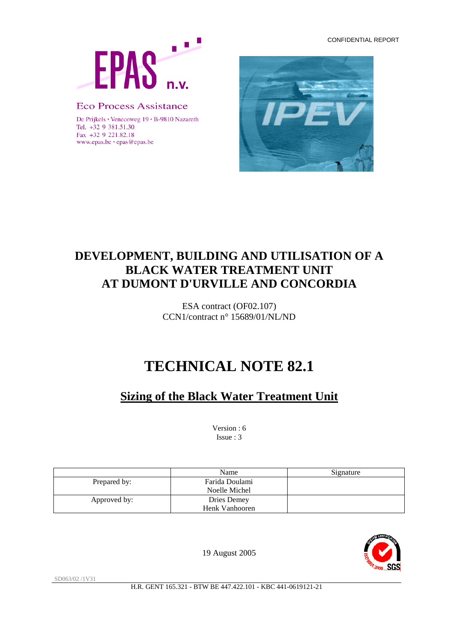CONFIDENTIAL REPORT



### **Eco Process Assistance**

De Prijkels · Venecoweg 19 · B-9810 Nazareth Tel. +32 9 381.51.30 Fax +32 9 221.82.18 www.epas.be · epas@epas.be



# **DEVELOPMENT, BUILDING AND UTILISATION OF A BLACK WATER TREATMENT UNIT AT DUMONT D'URVILLE AND CONCORDIA**

ESA contract (OF02.107) CCN1/contract n° 15689/01/NL/ND

# **TECHNICAL NOTE 82.1**

# **Sizing of the Black Water Treatment Unit**

Version : 6 Issue : 3

|              | Name           | Signature |
|--------------|----------------|-----------|
| Prepared by: | Farida Doulami |           |
|              | Noelle Michel  |           |
| Approved by: | Dries Demey    |           |
|              | Henk Vanhooren |           |



19 August 2005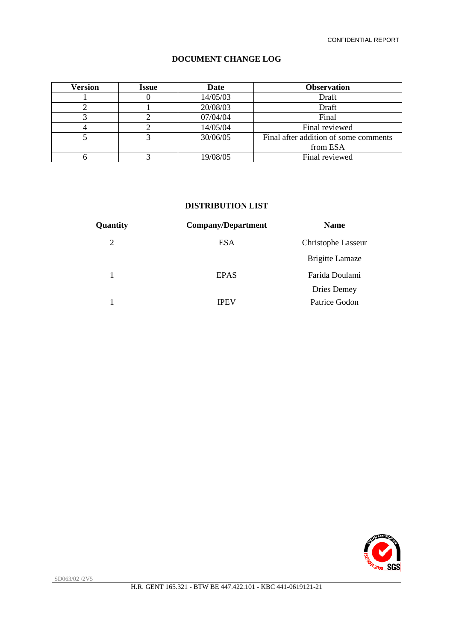#### **DOCUMENT CHANGE LOG**

| <b>Version</b> | Issue | Date     | <b>Observation</b>                    |  |
|----------------|-------|----------|---------------------------------------|--|
|                |       | 14/05/03 | Draft                                 |  |
|                |       | 20/08/03 | Draft                                 |  |
|                |       | 07/04/04 | Final                                 |  |
|                |       | 14/05/04 | Final reviewed                        |  |
|                |       | 30/06/05 | Final after addition of some comments |  |
|                |       |          | from ESA                              |  |
|                |       | 19/08/05 | Final reviewed                        |  |

### **DISTRIBUTION LIST**

| Quantity<br><b>Company/Department</b> | <b>Name</b>            |
|---------------------------------------|------------------------|
| 2<br><b>ESA</b>                       | Christophe Lasseur     |
|                                       | <b>Brigitte Lamaze</b> |
| <b>EPAS</b>                           | Farida Doulami         |
|                                       | Dries Demey            |
| <b>IPEV</b>                           | Patrice Godon          |

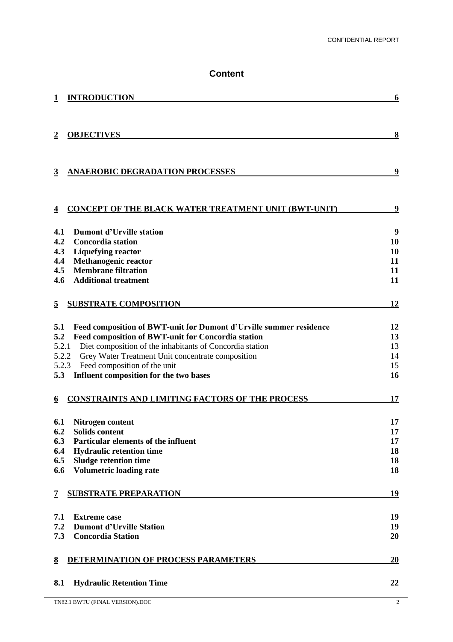### **Content**

|                 | <b>INTRODUCTION</b>                                                | 6  |
|-----------------|--------------------------------------------------------------------|----|
| $\overline{2}$  | <b>OBJECTIVES</b>                                                  | 8  |
| $\overline{3}$  | <b>ANAEROBIC DEGRADATION PROCESSES</b>                             | 9  |
| $\overline{4}$  | <b>CONCEPT OF THE BLACK WATER TREATMENT UNIT (BWT-UNIT)</b>        | 9  |
| 4.1             | <b>Dumont d'Urville station</b>                                    | 9  |
| 4.2             | <b>Concordia station</b>                                           | 10 |
| 4.3             | <b>Liquefying reactor</b>                                          | 10 |
| 4.4             | Methanogenic reactor                                               | 11 |
| 4.5             | <b>Membrane filtration</b>                                         | 11 |
| 4.6             | <b>Additional treatment</b>                                        | 11 |
| $\overline{5}$  | <b>SUBSTRATE COMPOSITION</b>                                       | 12 |
| 5.1             | Feed composition of BWT-unit for Dumont d'Urville summer residence | 12 |
| 5.2             | Feed composition of BWT-unit for Concordia station                 | 13 |
| 5.2.1           | Diet composition of the inhabitants of Concordia station           | 13 |
| 5.2.2           | Grey Water Treatment Unit concentrate composition                  | 14 |
| 5.2.3           | Feed composition of the unit                                       | 15 |
| 5.3             | Influent composition for the two bases                             | 16 |
| 6               | CONSTRAINTS AND LIMITING FACTORS OF THE PROCESS                    | 17 |
| 6.1             | Nitrogen content                                                   | 17 |
| 6.2             | <b>Solids content</b>                                              | 17 |
| 6.3             | Particular elements of the influent                                | 17 |
| 6.4             | <b>Hydraulic retention time</b>                                    | 18 |
| 6.5             | <b>Sludge retention time</b>                                       | 18 |
| 6.6             | <b>Volumetric loading rate</b>                                     | 18 |
| 7               | <b>SUBSTRATE PREPARATION</b>                                       | 19 |
| 7.1             | <b>Extreme case</b>                                                | 19 |
| 7.2             | <b>Dumont d'Urville Station</b>                                    | 19 |
| 7.3             | <b>Concordia Station</b>                                           | 20 |
| $\underline{8}$ | DETERMINATION OF PROCESS PARAMETERS                                | 20 |
| 8.1             | <b>Hydraulic Retention Time</b>                                    | 22 |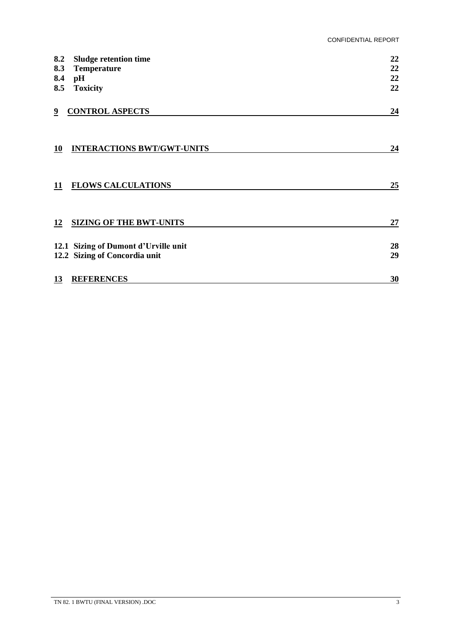| 8.2       | <b>Sludge retention time</b>         | 22 |
|-----------|--------------------------------------|----|
| 8.3       | <b>Temperature</b>                   | 22 |
| 8.4       | pH                                   | 22 |
| 8.5       | <b>Toxicity</b>                      | 22 |
| 9         | <b>CONTROL ASPECTS</b>               | 24 |
| <b>10</b> | <b>INTERACTIONS BWT/GWT-UNITS</b>    | 24 |
| 11        | <b>FLOWS CALCULATIONS</b>            | 25 |
| 12        | <b>SIZING OF THE BWT-UNITS</b>       | 27 |
|           | 12.1 Sizing of Dumont d'Urville unit | 28 |
|           | 12.2 Sizing of Concordia unit        | 29 |
| 13        | <b>REFERENCES</b>                    | 30 |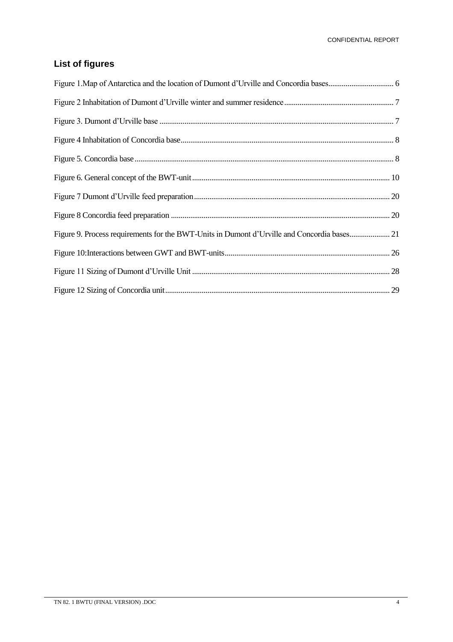### **List of figures**

| Figure 9. Process requirements for the BWT-Units in Dumont d'Urville and Concordia bases 21 |
|---------------------------------------------------------------------------------------------|
|                                                                                             |
|                                                                                             |
|                                                                                             |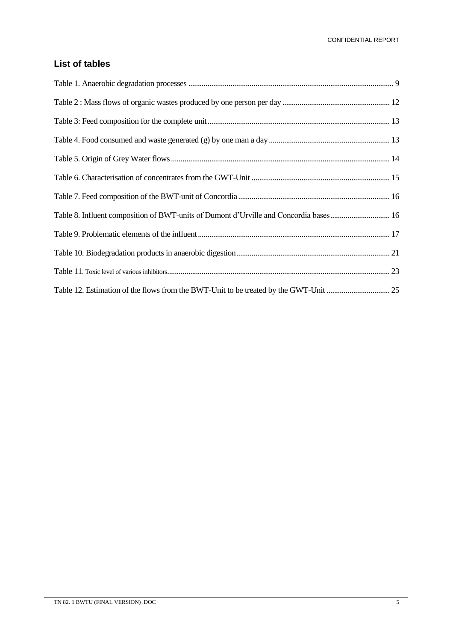### **List of tables**

| Table 8. Influent composition of BWT-units of Dumont d'Urville and Concordia bases 16 |  |
|---------------------------------------------------------------------------------------|--|
|                                                                                       |  |
|                                                                                       |  |
|                                                                                       |  |
|                                                                                       |  |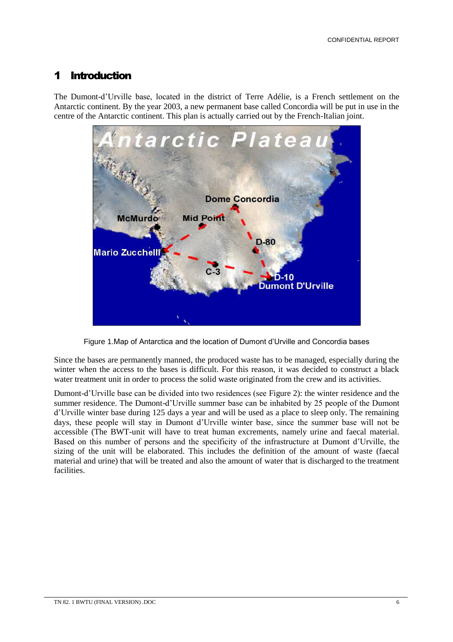### 1 Introduction

The Dumont-d'Urville base, located in the district of Terre Adélie, is a French settlement on the Antarctic continent. By the year 2003, a new permanent base called Concordia will be put in use in the centre of the Antarctic continent. This plan is actually carried out by the French-Italian joint.



Figure 1.Map of Antarctica and the location of Dumont d'Urville and Concordia bases

Since the bases are permanently manned, the produced waste has to be managed, especially during the winter when the access to the bases is difficult. For this reason, it was decided to construct a black water treatment unit in order to process the solid waste originated from the crew and its activities.

Dumont-d'Urville base can be divided into two residences (see Figure 2): the winter residence and the summer residence. The Dumont-d'Urville summer base can be inhabited by 25 people of the Dumont d'Urville winter base during 125 days a year and will be used as a place to sleep only. The remaining days, these people will stay in Dumont d'Urville winter base, since the summer base will not be accessible (The BWT-unit will have to treat human excrements, namely urine and faecal material. Based on this number of persons and the specificity of the infrastructure at Dumont d'Urville, the sizing of the unit will be elaborated. This includes the definition of the amount of waste (faecal material and urine) that will be treated and also the amount of water that is discharged to the treatment facilities.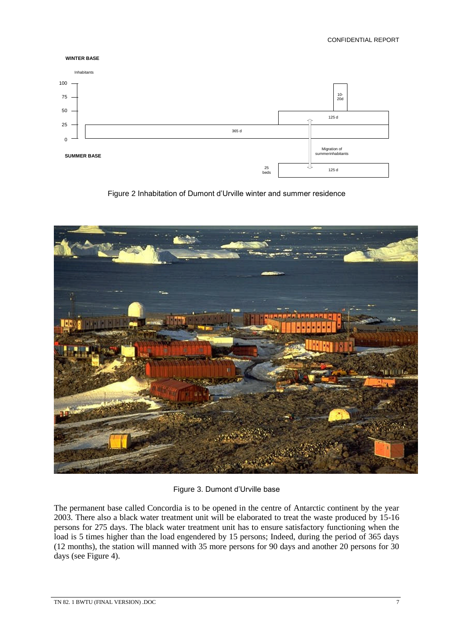CONFIDENTIAL REPORT



Figure 2 Inhabitation of Dumont d'Urville winter and summer residence



Figure 3. Dumont d'Urville base

The permanent base called Concordia is to be opened in the centre of Antarctic continent by the year 2003. There also a black water treatment unit will be elaborated to treat the waste produced by 15-16 persons for 275 days. The black water treatment unit has to ensure satisfactory functioning when the load is 5 times higher than the load engendered by 15 persons; Indeed, during the period of 365 days (12 months), the station will manned with 35 more persons for 90 days and another 20 persons for 30 days (see Figure 4).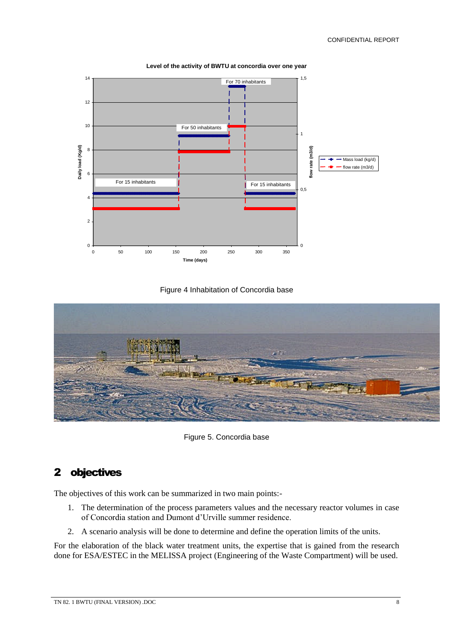

**Level of the activity of BWTU at concordia over one year**

#### Figure 4 Inhabitation of Concordia base



Figure 5. Concordia base

### 2 objectives

The objectives of this work can be summarized in two main points:-

- 1. The determination of the process parameters values and the necessary reactor volumes in case of Concordia station and Dumont d'Urville summer residence.
- 2. A scenario analysis will be done to determine and define the operation limits of the units.

For the elaboration of the black water treatment units, the expertise that is gained from the research done for ESA/ESTEC in the MELISSA project (Engineering of the Waste Compartment) will be used.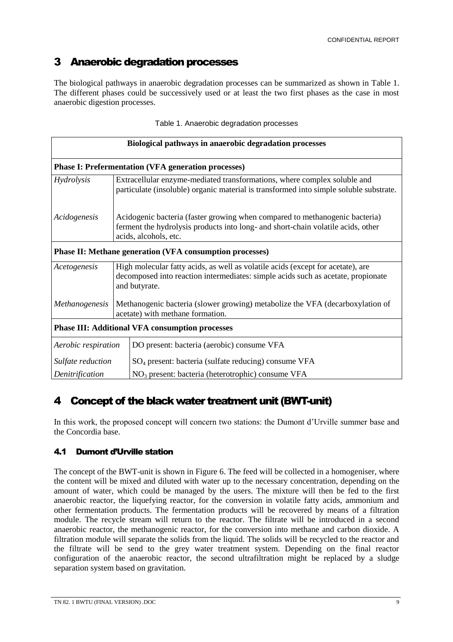### 3 Anaerobic degradation processes

The biological pathways in anaerobic degradation processes can be summarized as shown in Table 1. The different phases could be successively used or at least the two first phases as the case in most anaerobic digestion processes.

| Biological pathways in anaerobic degradation processes                                                                              |                                                                                                                                                                                          |                                                                                                                                                                    |  |  |
|-------------------------------------------------------------------------------------------------------------------------------------|------------------------------------------------------------------------------------------------------------------------------------------------------------------------------------------|--------------------------------------------------------------------------------------------------------------------------------------------------------------------|--|--|
|                                                                                                                                     |                                                                                                                                                                                          | <b>Phase I: Prefermentation (VFA generation processes)</b>                                                                                                         |  |  |
| <i>Hydrolysis</i>                                                                                                                   |                                                                                                                                                                                          | Extracellular enzyme-mediated transformations, where complex soluble and<br>particulate (insoluble) organic material is transformed into simple soluble substrate. |  |  |
| Acidogenesis                                                                                                                        | Acidogenic bacteria (faster growing when compared to methanogenic bacteria)<br>ferment the hydrolysis products into long- and short-chain volatile acids, other<br>acids, alcohols, etc. |                                                                                                                                                                    |  |  |
|                                                                                                                                     | <b>Phase II: Methane generation (VFA consumption processes)</b>                                                                                                                          |                                                                                                                                                                    |  |  |
| Acetogenesis                                                                                                                        | High molecular fatty acids, as well as volatile acids (except for acetate), are<br>decomposed into reaction intermediates: simple acids such as acetate, propionate<br>and butyrate.     |                                                                                                                                                                    |  |  |
| Methanogenic bacteria (slower growing) metabolize the VFA (decarboxylation of<br>Methanogenesis<br>acetate) with methane formation. |                                                                                                                                                                                          |                                                                                                                                                                    |  |  |
| <b>Phase III: Additional VFA consumption processes</b>                                                                              |                                                                                                                                                                                          |                                                                                                                                                                    |  |  |
| Aerobic respiration                                                                                                                 |                                                                                                                                                                                          | DO present: bacteria (aerobic) consume VFA                                                                                                                         |  |  |
| Sulfate reduction                                                                                                                   |                                                                                                                                                                                          | SO <sub>4</sub> present: bacteria (sulfate reducing) consume VFA                                                                                                   |  |  |
| Denitrification                                                                                                                     |                                                                                                                                                                                          | NO <sub>3</sub> present: bacteria (heterotrophic) consume VFA                                                                                                      |  |  |

#### Table 1. Anaerobic degradation processes

## 4 Concept of the black water treatment unit (BWT-unit)

In this work, the proposed concept will concern two stations: the Dumont d'Urville summer base and the Concordia base.

### 4.1 Dumont d'Urville station

The concept of the BWT-unit is shown in Figure 6. The feed will be collected in a homogeniser, where the content will be mixed and diluted with water up to the necessary concentration, depending on the amount of water, which could be managed by the users. The mixture will then be fed to the first anaerobic reactor, the liquefying reactor, for the conversion in volatile fatty acids, ammonium and other fermentation products. The fermentation products will be recovered by means of a filtration module. The recycle stream will return to the reactor. The filtrate will be introduced in a second anaerobic reactor, the methanogenic reactor, for the conversion into methane and carbon dioxide. A filtration module will separate the solids from the liquid. The solids will be recycled to the reactor and the filtrate will be send to the grey water treatment system. Depending on the final reactor configuration of the anaerobic reactor, the second ultrafiltration might be replaced by a sludge separation system based on gravitation.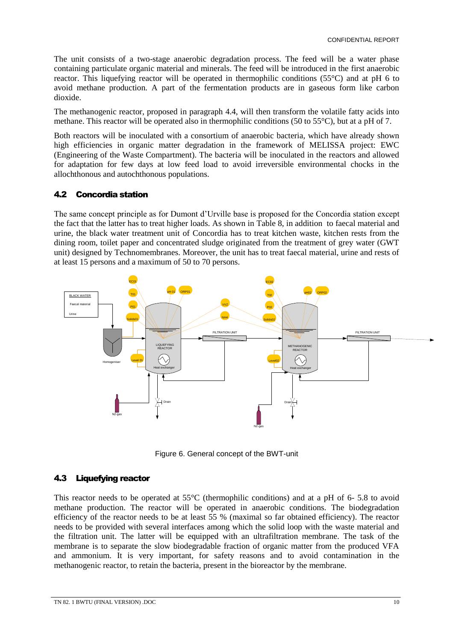The unit consists of a two-stage anaerobic degradation process. The feed will be a water phase containing particulate organic material and minerals. The feed will be introduced in the first anaerobic reactor. This liquefying reactor will be operated in thermophilic conditions (55°C) and at pH 6 to avoid methane production. A part of the fermentation products are in gaseous form like carbon dioxide.

The methanogenic reactor, proposed in paragraph 4.4, will then transform the volatile fatty acids into methane. This reactor will be operated also in thermophilic conditions (50 to 55°C), but at a pH of 7.

Both reactors will be inoculated with a consortium of anaerobic bacteria, which have already shown high efficiencies in organic matter degradation in the framework of MELISSA project: EWC (Engineering of the Waste Compartment). The bacteria will be inoculated in the reactors and allowed for adaptation for few days at low feed load to avoid irreversible environmental chocks in the allochthonous and autochthonous populations.

### 4.2 Concordia station

The same concept principle as for Dumont d'Urville base is proposed for the Concordia station except the fact that the latter has to treat higher loads. As shown in Table 8, in addition to faecal material and urine, the black water treatment unit of Concordia has to treat kitchen waste, kitchen rests from the dining room, toilet paper and concentrated sludge originated from the treatment of grey water (GWT unit) designed by Technomembranes. Moreover, the unit has to treat faecal material, urine and rests of at least 15 persons and a maximum of 50 to 70 persons.



Figure 6. General concept of the BWT-unit

### 4.3 Liquefying reactor

This reactor needs to be operated at 55°C (thermophilic conditions) and at a pH of 6- 5.8 to avoid methane production. The reactor will be operated in anaerobic conditions. The biodegradation efficiency of the reactor needs to be at least 55 % (maximal so far obtained efficiency). The reactor needs to be provided with several interfaces among which the solid loop with the waste material and the filtration unit. The latter will be equipped with an ultrafiltration membrane. The task of the membrane is to separate the slow biodegradable fraction of organic matter from the produced VFA and ammonium. It is very important, for safety reasons and to avoid contamination in the methanogenic reactor, to retain the bacteria, present in the bioreactor by the membrane.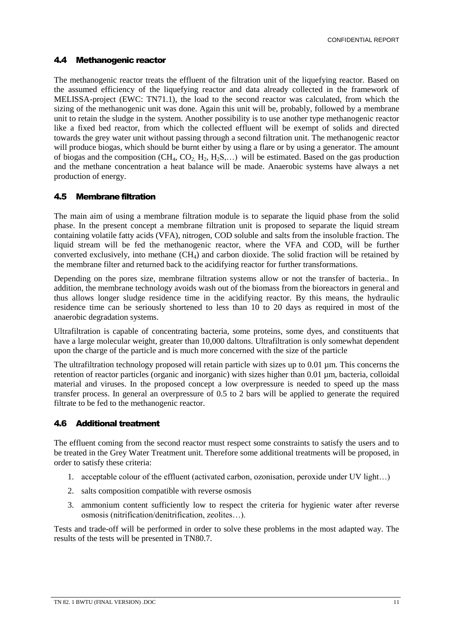#### 4.4 Methanogenic reactor

The methanogenic reactor treats the effluent of the filtration unit of the liquefying reactor. Based on the assumed efficiency of the liquefying reactor and data already collected in the framework of MELISSA-project (EWC: TN71.1), the load to the second reactor was calculated, from which the sizing of the methanogenic unit was done. Again this unit will be, probably, followed by a membrane unit to retain the sludge in the system. Another possibility is to use another type methanogenic reactor like a fixed bed reactor, from which the collected effluent will be exempt of solids and directed towards the grey water unit without passing through a second filtration unit. The methanogenic reactor will produce biogas, which should be burnt either by using a flare or by using a generator. The amount of biogas and the composition  $(CH_4, CO_2, H_2, H_2, ...)$  will be estimated. Based on the gas production and the methane concentration a heat balance will be made. Anaerobic systems have always a net production of energy.

#### 4.5 Membrane filtration

The main aim of using a membrane filtration module is to separate the liquid phase from the solid phase. In the present concept a membrane filtration unit is proposed to separate the liquid stream containing volatile fatty acids (VFA), nitrogen, COD soluble and salts from the insoluble fraction. The liquid stream will be fed the methanogenic reactor, where the VFA and COD<sub>s</sub> will be further converted exclusively, into methane  $(CH<sub>4</sub>)$  and carbon dioxide. The solid fraction will be retained by the membrane filter and returned back to the acidifying reactor for further transformations.

Depending on the pores size, membrane filtration systems allow or not the transfer of bacteria.. In addition, the membrane technology avoids wash out of the biomass from the bioreactors in general and thus allows longer sludge residence time in the acidifying reactor. By this means, the hydraulic residence time can be seriously shortened to less than 10 to 20 days as required in most of the anaerobic degradation systems.

Ultrafiltration is capable of concentrating bacteria, some proteins, some dyes, and constituents that have a large molecular weight, greater than 10,000 daltons. Ultrafiltration is only somewhat dependent upon the charge of the particle and is much more concerned with the size of the particle

The ultrafiltration technology proposed will retain particle with sizes up to  $0.01 \mu m$ . This concerns the retention of reactor particles (organic and inorganic) with sizes higher than 0.01 µm, bacteria, colloidal material and viruses. In the proposed concept a low overpressure is needed to speed up the mass transfer process. In general an overpressure of 0.5 to 2 bars will be applied to generate the required filtrate to be fed to the methanogenic reactor.

#### 4.6 Additional treatment

The effluent coming from the second reactor must respect some constraints to satisfy the users and to be treated in the Grey Water Treatment unit. Therefore some additional treatments will be proposed, in order to satisfy these criteria:

- 1. acceptable colour of the effluent (activated carbon, ozonisation, peroxide under UV light...)
- 2. salts composition compatible with reverse osmosis
- 3. ammonium content sufficiently low to respect the criteria for hygienic water after reverse osmosis (nitrification/denitrification, zeolites...).

Tests and trade-off will be performed in order to solve these problems in the most adapted way. The results of the tests will be presented in TN80.7.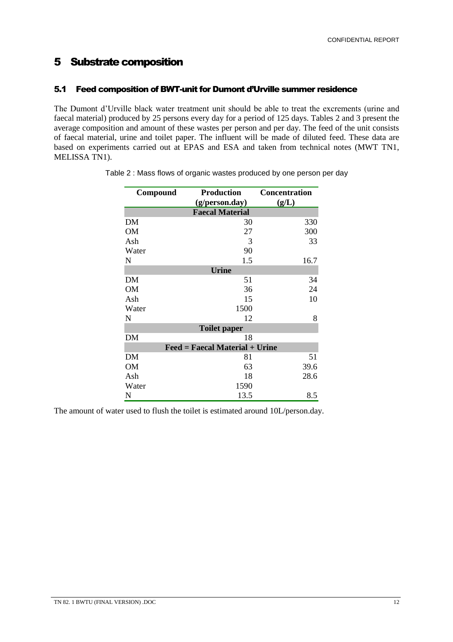### 5 Substrate composition

### 5.1 Feed composition of BWT-unit for Dumont d'Urville summer residence

The Dumont d'Urville black water treatment unit should be able to treat the excrements (urine and faecal material) produced by 25 persons every day for a period of 125 days. Tables 2 and 3 present the average composition and amount of these wastes per person and per day. The feed of the unit consists of faecal material, urine and toilet paper. The influent will be made of diluted feed. These data are based on experiments carried out at EPAS and ESA and taken from technical notes (MWT TN1, MELISSA TN1).

| Compound            | <b>Production</b>                     | <b>Concentration</b> |  |  |  |  |
|---------------------|---------------------------------------|----------------------|--|--|--|--|
|                     | (g/person.day)                        | (g/L)                |  |  |  |  |
|                     | <b>Faecal Material</b>                |                      |  |  |  |  |
| DM                  | 30                                    | 330                  |  |  |  |  |
| <b>OM</b>           | 27                                    | 300                  |  |  |  |  |
| Ash                 | 3                                     | 33                   |  |  |  |  |
| Water               | 90                                    |                      |  |  |  |  |
| N                   | 1.5                                   | 16.7                 |  |  |  |  |
|                     | <b>Urine</b>                          |                      |  |  |  |  |
| DM                  | 51                                    | 34                   |  |  |  |  |
| <b>OM</b>           | 36                                    | 24                   |  |  |  |  |
| Ash                 | 15                                    | 10                   |  |  |  |  |
| Water               | 1500                                  |                      |  |  |  |  |
| N                   | 12                                    | 8                    |  |  |  |  |
| <b>Toilet paper</b> |                                       |                      |  |  |  |  |
| DM                  | 18                                    |                      |  |  |  |  |
|                     | <b>Feed = Faecal Material + Urine</b> |                      |  |  |  |  |
| DM                  | 81                                    | 51                   |  |  |  |  |
| OM                  | 63                                    | 39.6                 |  |  |  |  |
| Ash                 | 18                                    | 28.6                 |  |  |  |  |
| Water               | 1590                                  |                      |  |  |  |  |
| N                   | 13.5                                  | 8.5                  |  |  |  |  |

The amount of water used to flush the toilet is estimated around 10L/person.day.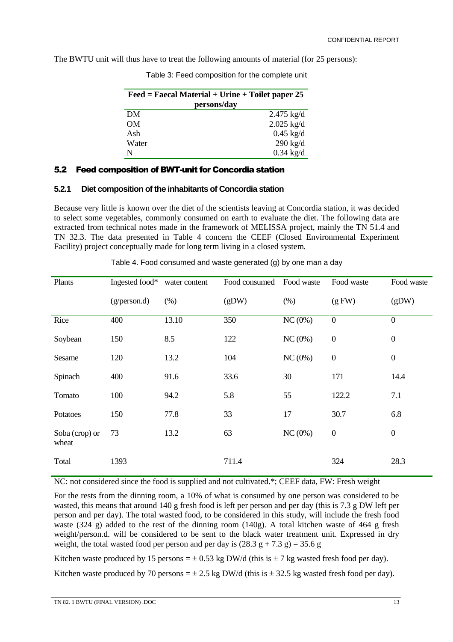The BWTU unit will thus have to treat the following amounts of material (for 25 persons):

| $\text{Feed} = \text{Faccal Material} + \text{Urine} + \text{Toilet paper}$ 25 |                      |  |
|--------------------------------------------------------------------------------|----------------------|--|
| persons/day                                                                    |                      |  |
| DM                                                                             | $2.475 \text{ kg/d}$ |  |
| OM.                                                                            | $2.025$ kg/d         |  |
| Ash                                                                            | $0.45$ kg/d          |  |
| Water                                                                          | $290$ kg/d           |  |
| N                                                                              | $0.34$ kg/d          |  |

Table 3: Feed composition for the complete unit

#### 5.2 Feed composition of BWT-unit for Concordia station

#### **5.2.1 Diet composition of the inhabitants of Concordia station**

Because very little is known over the diet of the scientists leaving at Concordia station, it was decided to select some vegetables, commonly consumed on earth to evaluate the diet. The following data are extracted from technical notes made in the framework of MELISSA project, mainly the TN 51.4 and TN 32.3. The data presented in Table 4 concern the CEEF (Closed Environmental Experiment Facility) project conceptually made for long term living in a closed system.

| Plants                  | Ingested food* | water content | Food consumed | Food waste | Food waste       | Food waste       |
|-------------------------|----------------|---------------|---------------|------------|------------------|------------------|
|                         | (g/person.d)   | (% )          | (gDW)         | (% )       | (gFW)            | (gDW)            |
| Rice                    | 400            | 13.10         | 350           | $NC(0\%)$  | $\boldsymbol{0}$ | $\boldsymbol{0}$ |
| Soybean                 | 150            | 8.5           | 122           | NC(0%)     | $\boldsymbol{0}$ | $\boldsymbol{0}$ |
| Sesame                  | 120            | 13.2          | 104           | NC(0%      | $\boldsymbol{0}$ | $\boldsymbol{0}$ |
| Spinach                 | 400            | 91.6          | 33.6          | 30         | 171              | 14.4             |
| Tomato                  | 100            | 94.2          | 5.8           | 55         | 122.2            | 7.1              |
| Potatoes                | 150            | 77.8          | 33            | 17         | 30.7             | 6.8              |
| Soba (crop) or<br>wheat | 73             | 13.2          | 63            | NC(0%)     | $\boldsymbol{0}$ | $\boldsymbol{0}$ |
| Total                   | 1393           |               | 711.4         |            | 324              | 28.3             |

Table 4. Food consumed and waste generated (g) by one man a day

NC: not considered since the food is supplied and not cultivated.\*; CEEF data, FW: Fresh weight

For the rests from the dinning room, a 10% of what is consumed by one person was considered to be wasted, this means that around 140 g fresh food is left per person and per day (this is 7.3 g DW left per person and per day). The total wasted food, to be considered in this study, will include the fresh food waste (324 g) added to the rest of the dinning room (140g). A total kitchen waste of 464 g fresh weight/person.d. will be considered to be sent to the black water treatment unit. Expressed in dry weight, the total wasted food per person and per day is  $(28.3 \text{ g} + 7.3 \text{ g}) = 35.6 \text{ g}$ 

Kitchen waste produced by 15 persons =  $\pm$  0.53 kg DW/d (this is  $\pm$  7 kg wasted fresh food per day).

Kitchen waste produced by 70 persons  $= \pm 2.5$  kg DW/d (this is  $\pm 32.5$  kg wasted fresh food per day).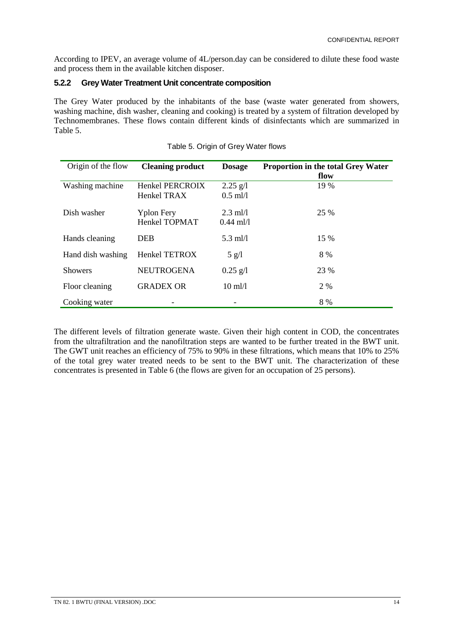According to IPEV, an average volume of 4L/person.day can be considered to dilute these food waste and process them in the available kitchen disposer.

### **5.2.2 Grey Water Treatment Unit concentrate composition**

The Grey Water produced by the inhabitants of the base (waste water generated from showers, washing machine, dish washer, cleaning and cooking) is treated by a system of filtration developed by Technomembranes. These flows contain different kinds of disinfectants which are summarized in Table 5.

| Origin of the flow | <b>Cleaning product</b>            | <b>Dosage</b>             | <b>Proportion in the total Grey Water</b><br>flow |
|--------------------|------------------------------------|---------------------------|---------------------------------------------------|
| Washing machine    | Henkel PERCROIX<br>Henkel TRAX     | $2.25$ g/l<br>$0.5$ ml/l  | 19 %                                              |
| Dish washer        | <b>Yplon Fery</b><br>Henkel TOPMAT | $2.3$ ml/l<br>$0.44$ ml/l | 25 %                                              |
| Hands cleaning     | <b>DEB</b>                         | $5.3$ ml/l                | 15 %                                              |
| Hand dish washing  | Henkel TETROX                      | $5$ g/l                   | 8 %                                               |
| <b>Showers</b>     | <b>NEUTROGENA</b>                  | $0.25$ g/l                | 23 %                                              |
| Floor cleaning     | <b>GRADEX OR</b>                   | $10 \text{ ml}$ /1        | 2 %                                               |
| Cooking water      |                                    |                           | 8 %                                               |

#### Table 5. Origin of Grey Water flows

The different levels of filtration generate waste. Given their high content in COD, the concentrates from the ultrafiltration and the nanofiltration steps are wanted to be further treated in the BWT unit. The GWT unit reaches an efficiency of 75% to 90% in these filtrations, which means that 10% to 25% of the total grey water treated needs to be sent to the BWT unit. The characterization of these concentrates is presented in Table 6 (the flows are given for an occupation of 25 persons).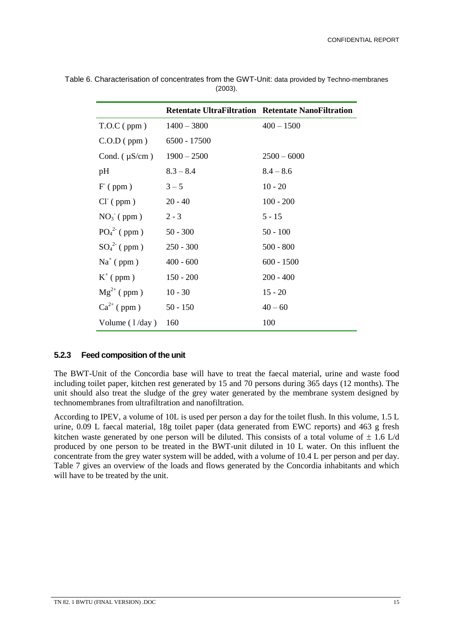|                    |               | <b>Retentate UltraFiltration Retentate NanoFiltration</b> |
|--------------------|---------------|-----------------------------------------------------------|
| $T.O.C$ (ppm)      | $1400 - 3800$ | $400 - 1500$                                              |
| $C.O.D$ (ppm)      | 6500 - 17500  |                                                           |
| Cond. $(\mu S/cm)$ | $1900 - 2500$ | $2500 - 6000$                                             |
| pH                 | $8.3 - 8.4$   | $8.4 - 8.6$                                               |
| $F$ (ppm)          | $3 - 5$       | $10 - 20$                                                 |
| $CI^{(ppm)}$       | $20 - 40$     | $100 - 200$                                               |
| $NO3-$ (ppm)       | $2 - 3$       | 5 - 15                                                    |
| $PO_4^{2}$ (ppm)   | $50 - 300$    | $50 - 100$                                                |
| $SO_4^{2}$ (ppm)   | $250 - 300$   | $500 - 800$                                               |
| $Na^+$ (ppm)       | $400 - 600$   | $600 - 1500$                                              |
| $K^+$ (ppm)        | $150 - 200$   | $200 - 400$                                               |
| $Mg^{2+}$ (ppm)    | $10 - 30$     | $15 - 20$                                                 |
| $Ca^{2+}$ (ppm)    | $50 - 150$    | $40 - 60$                                                 |
| Volume $(1/day)$   | 160           | 100                                                       |

Table 6. Characterisation of concentrates from the GWT-Unit: data provided by Techno-membranes (2003).

#### **5.2.3 Feed composition of the unit**

The BWT-Unit of the Concordia base will have to treat the faecal material, urine and waste food including toilet paper, kitchen rest generated by 15 and 70 persons during 365 days (12 months). The unit should also treat the sludge of the grey water generated by the membrane system designed by technomembranes from ultrafiltration and nanofiltration.

According to IPEV, a volume of 10L is used per person a day for the toilet flush. In this volume, 1.5 L urine, 0.09 L faecal material, 18g toilet paper (data generated from EWC reports) and 463 g fresh kitchen waste generated by one person will be diluted. This consists of a total volume of  $\pm$  1.6 L/d produced by one person to be treated in the BWT-unit diluted in 10 L water. On this influent the concentrate from the grey water system will be added, with a volume of 10.4 L per person and per day. Table 7 gives an overview of the loads and flows generated by the Concordia inhabitants and which will have to be treated by the unit.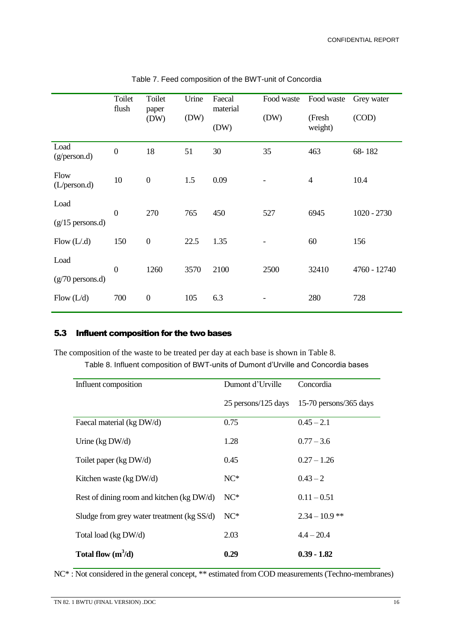|                            | Toilet<br>flush  | Toilet<br>paper<br>(DW) | Urine<br>(DW) | Faecal<br>material<br>(DW) | Food waste<br>(DW) | Food waste<br>(Fresh<br>weight) | Grey water<br>(COD) |
|----------------------------|------------------|-------------------------|---------------|----------------------------|--------------------|---------------------------------|---------------------|
| Load<br>(g/person.d)       | $\boldsymbol{0}$ | 18                      | 51            | 30                         | 35                 | 463                             | 68-182              |
| Flow<br>(L/person.d)       | 10               | $\boldsymbol{0}$        | 1.5           | 0.09                       |                    | $\overline{4}$                  | 10.4                |
| Load<br>$(g/15$ persons.d) | $\mathbf{0}$     | 270                     | 765           | 450                        | 527                | 6945                            | $1020 - 2730$       |
| Flow $(L.d)$               | 150              | $\boldsymbol{0}$        | 22.5          | 1.35                       |                    | 60                              | 156                 |
| Load<br>$(g/70$ persons.d) | $\mathbf{0}$     | 1260                    | 3570          | 2100                       | 2500               | 32410                           | 4760 - 12740        |
| Flow $(L/d)$               | 700              | $\boldsymbol{0}$        | 105           | 6.3                        |                    | 280                             | 728                 |

| Table 7. Feed composition of the BWT-unit of Concordia |  |  |  |
|--------------------------------------------------------|--|--|--|
|--------------------------------------------------------|--|--|--|

### 5.3 Influent composition for the two bases

The composition of the waste to be treated per day at each base is shown in Table 8.

Table 8. Influent composition of BWT-units of Dumont d'Urville and Concordia bases

| Influent composition                       | Dumont d'Urville    | Concordia              |  |
|--------------------------------------------|---------------------|------------------------|--|
|                                            | 25 persons/125 days | 15-70 persons/365 days |  |
| Faecal material (kg DW/d)                  | 0.75                | $0.45 - 2.1$           |  |
| Urine ( $kg\,DW/d$ )                       | 1.28                | $0.77 - 3.6$           |  |
| Toilet paper (kg DW/d)                     | 0.45                | $0.27 - 1.26$          |  |
| Kitchen waste (kg DW/d)                    | $NC*$               | $0.43 - 2$             |  |
| Rest of dining room and kitchen (kg DW/d)  | $NC*$               | $0.11 - 0.51$          |  |
| Sludge from grey water treatment (kg SS/d) | $NC*$               | $2.34 - 10.9$ **       |  |
| Total load (kg DW/d)                       | 2.03                | $4.4 - 20.4$           |  |
| Total flow $(m^3/d)$                       | 0.29                | $0.39 - 1.82$          |  |

NC\* : Not considered in the general concept, \*\* estimated from COD measurements (Techno-membranes)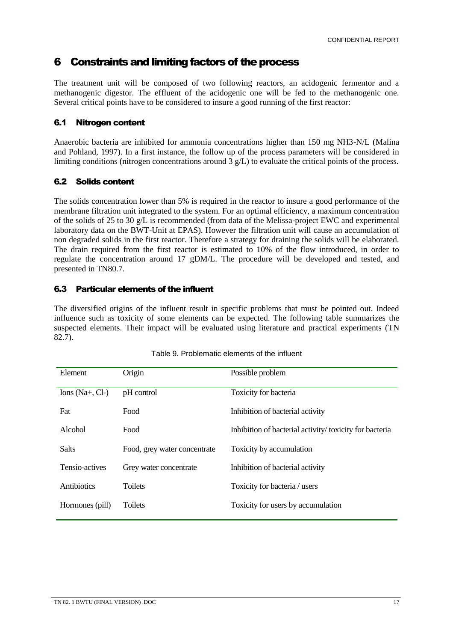### 6 Constraints and limiting factors of the process

The treatment unit will be composed of two following reactors, an acidogenic fermentor and a methanogenic digestor. The effluent of the acidogenic one will be fed to the methanogenic one. Several critical points have to be considered to insure a good running of the first reactor:

### 6.1 Nitrogen content

Anaerobic bacteria are inhibited for ammonia concentrations higher than 150 mg NH3-N/L (Malina and Pohland, 1997). In a first instance, the follow up of the process parameters will be considered in limiting conditions (nitrogen concentrations around 3 g/L) to evaluate the critical points of the process.

### 6.2 Solids content

The solids concentration lower than 5% is required in the reactor to insure a good performance of the membrane filtration unit integrated to the system. For an optimal efficiency, a maximum concentration of the solids of 25 to 30 g/L is recommended (from data of the Melissa-project EWC and experimental laboratory data on the BWT-Unit at EPAS). However the filtration unit will cause an accumulation of non degraded solids in the first reactor. Therefore a strategy for draining the solids will be elaborated. The drain required from the first reactor is estimated to 10% of the flow introduced, in order to regulate the concentration around 17 gDM/L. The procedure will be developed and tested, and presented in TN80.7.

### 6.3 Particular elements of the influent

The diversified origins of the influent result in specific problems that must be pointed out. Indeed influence such as toxicity of some elements can be expected. The following table summarizes the suspected elements. Their impact will be evaluated using literature and practical experiments (TN 82.7).

| Element         | Origin                       | Possible problem                                       |
|-----------------|------------------------------|--------------------------------------------------------|
| Ions (Na+, Cl-) | pH control                   | Toxicity for bacteria                                  |
| Fat             | Food                         | Inhibition of bacterial activity                       |
| Alcohol         | Food                         | Inhibition of bacterial activity/toxicity for bacteria |
| <b>Salts</b>    | Food, grey water concentrate | Toxicity by accumulation                               |
| Tensio-actives  | Grey water concentrate       | Inhibition of bacterial activity                       |
| Antibiotics     | <b>Toilets</b>               | Toxicity for bacteria / users                          |
| Hormones (pill) | <b>Toilets</b>               | Toxicity for users by accumulation                     |

| Table 9. Problematic elements of the influent |
|-----------------------------------------------|
|-----------------------------------------------|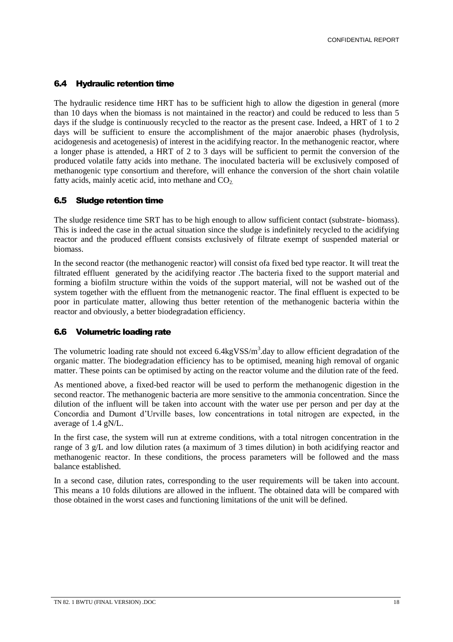#### 6.4 Hydraulic retention time

The hydraulic residence time HRT has to be sufficient high to allow the digestion in general (more than 10 days when the biomass is not maintained in the reactor) and could be reduced to less than 5 days if the sludge is continuously recycled to the reactor as the present case. Indeed, a HRT of 1 to 2 days will be sufficient to ensure the accomplishment of the major anaerobic phases (hydrolysis, acidogenesis and acetogenesis) of interest in the acidifying reactor. In the methanogenic reactor, where a longer phase is attended, a HRT of 2 to 3 days will be sufficient to permit the conversion of the produced volatile fatty acids into methane. The inoculated bacteria will be exclusively composed of methanogenic type consortium and therefore, will enhance the conversion of the short chain volatile fatty acids, mainly acetic acid, into methane and  $CO<sub>2</sub>$ .

#### 6.5 Sludge retention time

The sludge residence time SRT has to be high enough to allow sufficient contact (substrate- biomass). This is indeed the case in the actual situation since the sludge is indefinitely recycled to the acidifying reactor and the produced effluent consists exclusively of filtrate exempt of suspended material or biomass.

In the second reactor (the methanogenic reactor) will consist ofa fixed bed type reactor. It will treat the filtrated effluent generated by the acidifying reactor .The bacteria fixed to the support material and forming a biofilm structure within the voids of the support material, will not be washed out of the system together with the effluent from the metnanogenic reactor. The final effluent is expected to be poor in particulate matter, allowing thus better retention of the methanogenic bacteria within the reactor and obviously, a better biodegradation efficiency.

### 6.6 Volumetric loading rate

The volumetric loading rate should not exceed 6.4kgVSS/m<sup>3</sup>.day to allow efficient degradation of the organic matter. The biodegradation efficiency has to be optimised, meaning high removal of organic matter. These points can be optimised by acting on the reactor volume and the dilution rate of the feed.

As mentioned above, a fixed-bed reactor will be used to perform the methanogenic digestion in the second reactor. The methanogenic bacteria are more sensitive to the ammonia concentration. Since the dilution of the influent will be taken into account with the water use per person and per day at the Concordia and Dumont d'Urville bases, low concentrations in total nitrogen are expected, in the average of 1.4 gN/L.

In the first case, the system will run at extreme conditions, with a total nitrogen concentration in the range of 3 g/L and low dilution rates (a maximum of 3 times dilution) in both acidifying reactor and methanogenic reactor. In these conditions, the process parameters will be followed and the mass balance established.

In a second case, dilution rates, corresponding to the user requirements will be taken into account. This means a 10 folds dilutions are allowed in the influent. The obtained data will be compared with those obtained in the worst cases and functioning limitations of the unit will be defined.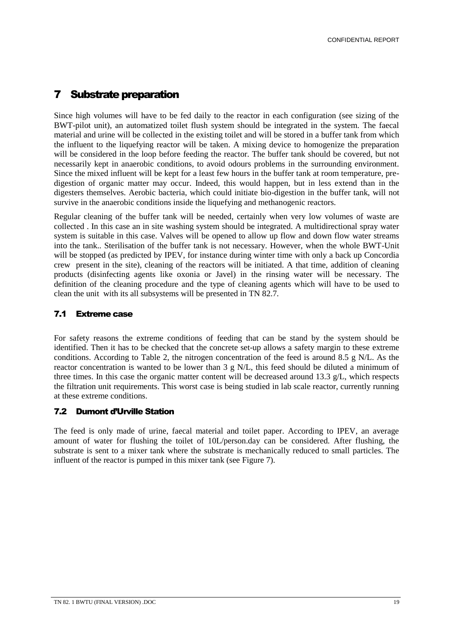### **7** Substrate preparation

Since high volumes will have to be fed daily to the reactor in each configuration (see sizing of the BWT-pilot unit), an automatized toilet flush system should be integrated in the system. The faecal material and urine will be collected in the existing toilet and will be stored in a buffer tank from which the influent to the liquefying reactor will be taken. A mixing device to homogenize the preparation will be considered in the loop before feeding the reactor. The buffer tank should be covered, but not necessarily kept in anaerobic conditions, to avoid odours problems in the surrounding environment. Since the mixed influent will be kept for a least few hours in the buffer tank at room temperature, predigestion of organic matter may occur. Indeed, this would happen, but in less extend than in the digesters themselves. Aerobic bacteria, which could initiate bio-digestion in the buffer tank, will not survive in the anaerobic conditions inside the liquefying and methanogenic reactors.

Regular cleaning of the buffer tank will be needed, certainly when very low volumes of waste are collected . In this case an in site washing system should be integrated. A multidirectional spray water system is suitable in this case. Valves will be opened to allow up flow and down flow water streams into the tank.. Sterilisation of the buffer tank is not necessary. However, when the whole BWT-Unit will be stopped (as predicted by IPEV, for instance during winter time with only a back up Concordia crew present in the site), cleaning of the reactors will be initiated. A that time, addition of cleaning products (disinfecting agents like oxonia or Javel) in the rinsing water will be necessary. The definition of the cleaning procedure and the type of cleaning agents which will have to be used to clean the unit with its all subsystems will be presented in TN 82.7.

### 7.1 Extreme case

For safety reasons the extreme conditions of feeding that can be stand by the system should be identified. Then it has to be checked that the concrete set-up allows a safety margin to these extreme conditions. According to Table 2, the nitrogen concentration of the feed is around 8.5 g N/L. As the reactor concentration is wanted to be lower than 3 g N/L, this feed should be diluted a minimum of three times. In this case the organic matter content will be decreased around 13.3 g/L, which respects the filtration unit requirements. This worst case is being studied in lab scale reactor, currently running at these extreme conditions.

### 7.2 Dumont d'Urville Station

The feed is only made of urine, faecal material and toilet paper. According to IPEV, an average amount of water for flushing the toilet of 10L/person.day can be considered. After flushing, the substrate is sent to a mixer tank where the substrate is mechanically reduced to small particles. The influent of the reactor is pumped in this mixer tank (see Figure 7).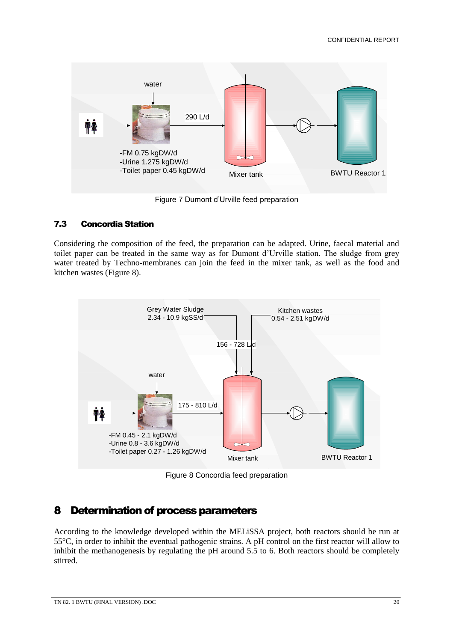

Figure 7 Dumont d'Urville feed preparation

### 7.3 Concordia Station

Considering the composition of the feed, the preparation can be adapted. Urine, faecal material and toilet paper can be treated in the same way as for Dumont d'Urville station. The sludge from grey water treated by Techno-membranes can join the feed in the mixer tank, as well as the food and kitchen wastes (Figure 8).



Figure 8 Concordia feed preparation

### 8 Determination of process parameters

According to the knowledge developed within the MELiSSA project, both reactors should be run at 55°C, in order to inhibit the eventual pathogenic strains. A pH control on the first reactor will allow to inhibit the methanogenesis by regulating the pH around 5.5 to 6. Both reactors should be completely stirred.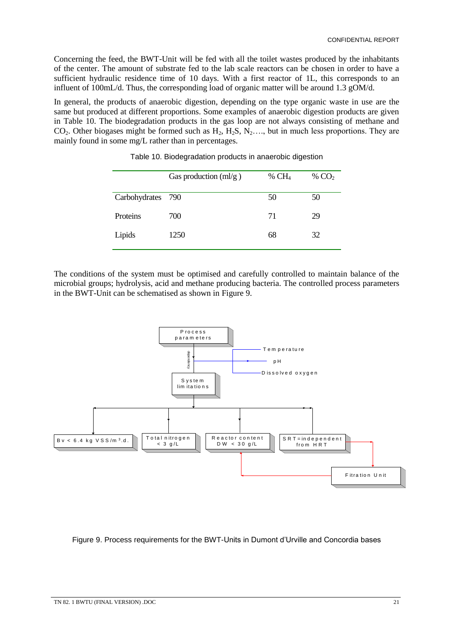Concerning the feed, the BWT-Unit will be fed with all the toilet wastes produced by the inhabitants of the center. The amount of substrate fed to the lab scale reactors can be chosen in order to have a sufficient hydraulic residence time of 10 days. With a first reactor of 1L, this corresponds to an influent of 100mL/d. Thus, the corresponding load of organic matter will be around 1.3 gOM/d.

In general, the products of anaerobic digestion, depending on the type organic waste in use are the same but produced at different proportions. Some examples of anaerobic digestion products are given in Table 10. The biodegradation products in the gas loop are not always consisting of methane and  $CO<sub>2</sub>$ . Other biogases might be formed such as  $H<sub>2</sub>$ ,  $H<sub>2</sub>S$ ,  $N<sub>2</sub>$ ..., but in much less proportions. They are mainly found in some mg/L rather than in percentages.

|                   | Gas production ${\rm (ml/g)}$ | % $CH4$ | % $CO2$ |
|-------------------|-------------------------------|---------|---------|
| Carbohydrates 790 |                               | 50      | 50      |
| Proteins          | 700                           | 71      | 29      |
| Lipids            | 1250                          | 68      | 32      |

Table 10. Biodegradation products in anaerobic digestion

The conditions of the system must be optimised and carefully controlled to maintain balance of the microbial groups; hydrolysis, acid and methane producing bacteria. The controlled process parameters in the BWT-Unit can be schematised as shown in Figure 9.



Figure 9. Process requirements for the BWT-Units in Dumont d'Urville and Concordia bases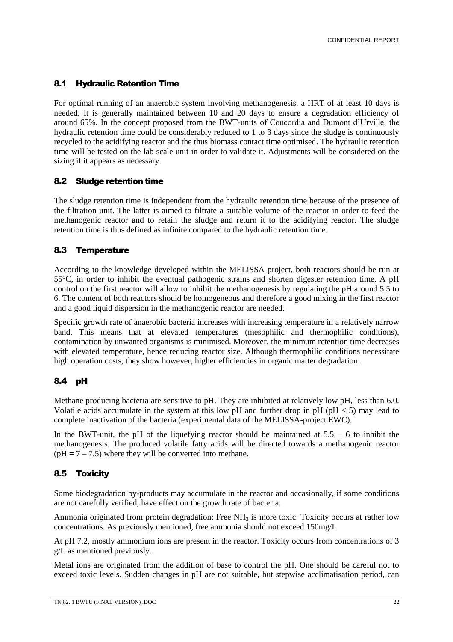### 8.1 Hydraulic Retention Time

For optimal running of an anaerobic system involving methanogenesis, a HRT of at least 10 days is needed. It is generally maintained between 10 and 20 days to ensure a degradation efficiency of around 65%. In the concept proposed from the BWT-units of Concordia and Dumont d'Urville, the hydraulic retention time could be considerably reduced to 1 to 3 days since the sludge is continuously recycled to the acidifying reactor and the thus biomass contact time optimised. The hydraulic retention time will be tested on the lab scale unit in order to validate it. Adjustments will be considered on the sizing if it appears as necessary.

### 8.2 Sludge retention time

The sludge retention time is independent from the hydraulic retention time because of the presence of the filtration unit. The latter is aimed to filtrate a suitable volume of the reactor in order to feed the methanogenic reactor and to retain the sludge and return it to the acidifying reactor. The sludge retention time is thus defined as infinite compared to the hydraulic retention time.

### 8.3 Temperature

According to the knowledge developed within the MELiSSA project, both reactors should be run at 55°C, in order to inhibit the eventual pathogenic strains and shorten digester retention time. A pH control on the first reactor will allow to inhibit the methanogenesis by regulating the pH around 5.5 to 6. The content of both reactors should be homogeneous and therefore a good mixing in the first reactor and a good liquid dispersion in the methanogenic reactor are needed.

Specific growth rate of anaerobic bacteria increases with increasing temperature in a relatively narrow band. This means that at elevated temperatures (mesophilic and thermophilic conditions), contamination by unwanted organisms is minimised. Moreover, the minimum retention time decreases with elevated temperature, hence reducing reactor size. Although thermophilic conditions necessitate high operation costs, they show however, higher efficiencies in organic matter degradation.

### 8.4 pH

Methane producing bacteria are sensitive to pH. They are inhibited at relatively low pH, less than 6.0. Volatile acids accumulate in the system at this low pH and further drop in pH ( $pH < 5$ ) may lead to complete inactivation of the bacteria (experimental data of the MELISSA-project EWC).

In the BWT-unit, the pH of the liquefying reactor should be maintained at  $5.5 - 6$  to inhibit the methanogenesis. The produced volatile fatty acids will be directed towards a methanogenic reactor  $(pH = 7 - 7.5)$  where they will be converted into methane.

### 8.5 Toxicity

Some biodegradation by-products may accumulate in the reactor and occasionally, if some conditions are not carefully verified, have effect on the growth rate of bacteria.

Ammonia originated from protein degradation: Free  $NH<sub>3</sub>$  is more toxic. Toxicity occurs at rather low concentrations. As previously mentioned, free ammonia should not exceed 150mg/L.

At pH 7.2, mostly ammonium ions are present in the reactor. Toxicity occurs from concentrations of 3 g/L as mentioned previously.

Metal ions are originated from the addition of base to control the pH. One should be careful not to exceed toxic levels. Sudden changes in pH are not suitable, but stepwise acclimatisation period, can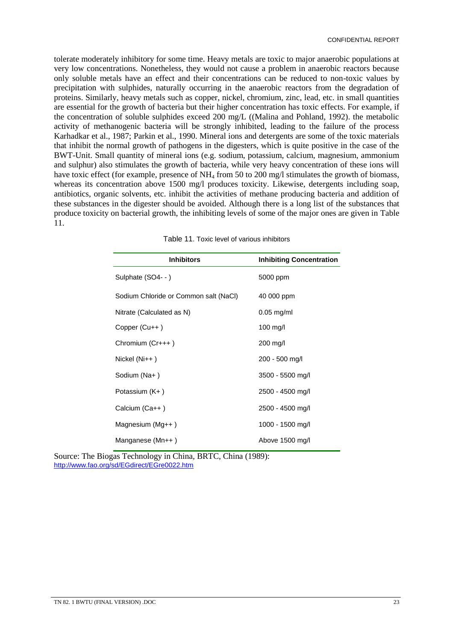tolerate moderately inhibitory for some time. Heavy metals are toxic to major anaerobic populations at very low concentrations. Nonetheless, they would not cause a problem in anaerobic reactors because only soluble metals have an effect and their concentrations can be reduced to non-toxic values by precipitation with sulphides, naturally occurring in the anaerobic reactors from the degradation of proteins. Similarly, heavy metals such as copper, nickel, chromium, zinc, lead, etc. in small quantities are essential for the growth of bacteria but their higher concentration has toxic effects. For example, if the concentration of soluble sulphides exceed 200 mg/L ((Malina and Pohland, 1992). the metabolic activity of methanogenic bacteria will be strongly inhibited, leading to the failure of the process Karhadkar et al., 1987; Parkin et al., 1990. Mineral ions and detergents are some of the toxic materials that inhibit the normal growth of pathogens in the digesters, which is quite positive in the case of the BWT-Unit. Small quantity of mineral ions (e.g. sodium, potassium, calcium, magnesium, ammonium and sulphur) also stimulates the growth of bacteria, while very heavy concentration of these ions will have toxic effect (for example, presence of NH<sub>4</sub> from 50 to 200 mg/l stimulates the growth of biomass, whereas its concentration above 1500 mg/l produces toxicity. Likewise, detergents including soap, antibiotics, organic solvents, etc. inhibit the activities of methane producing bacteria and addition of these substances in the digester should be avoided. Although there is a long list of the substances that produce toxicity on bacterial growth, the inhibiting levels of some of the major ones are given in Table 11.

| <b>Inhibitors</b>                     | <b>Inhibiting Concentration</b> |
|---------------------------------------|---------------------------------|
| Sulphate (SO4--)                      | 5000 ppm                        |
| Sodium Chloride or Common salt (NaCl) | 40 000 ppm                      |
| Nitrate (Calculated as N)             | $0.05$ mg/ml                    |
| Copper (Cu++)                         | $100 \text{ mg/l}$              |
| Chromium (Cr+++)                      | $200$ mg/l                      |
| $Nickel (Ni++)$                       | 200 - 500 mg/l                  |
| Sodium (Na+)                          | 3500 - 5500 mg/l                |
| Potassium (K+)                        | 2500 - 4500 mg/l                |
| Calcium (Ca++)                        | 2500 - 4500 mg/l                |
| Magnesium $(Mg++)$                    | 1000 - 1500 mg/l                |
| Manganese (Mn++)                      | Above 1500 mg/l                 |

Table 11. Toxic level of various inhibitors

Source: The Biogas Technology in China, BRTC, China (1989): http://www.fao.org/sd/EGdirect/EGre0022.htm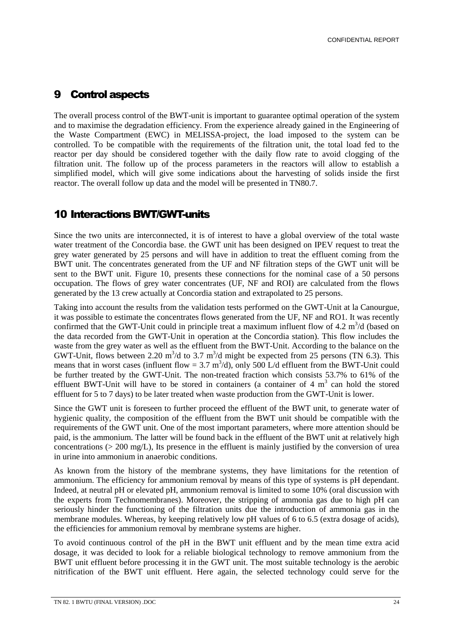### 9 Control aspects

The overall process control of the BWT-unit is important to guarantee optimal operation of the system and to maximise the degradation efficiency. From the experience already gained in the Engineering of the Waste Compartment (EWC) in MELISSA-project, the load imposed to the system can be controlled. To be compatible with the requirements of the filtration unit, the total load fed to the reactor per day should be considered together with the daily flow rate to avoid clogging of the filtration unit. The follow up of the process parameters in the reactors will allow to establish a simplified model, which will give some indications about the harvesting of solids inside the first reactor. The overall follow up data and the model will be presented in TN80.7.

### 10 Interactions BWT/GWT-units

Since the two units are interconnected, it is of interest to have a global overview of the total waste water treatment of the Concordia base. the GWT unit has been designed on IPEV request to treat the grey water generated by 25 persons and will have in addition to treat the effluent coming from the BWT unit. The concentrates generated from the UF and NF filtration steps of the GWT unit will be sent to the BWT unit. Figure 10, presents these connections for the nominal case of a 50 persons occupation. The flows of grey water concentrates (UF, NF and ROI) are calculated from the flows generated by the 13 crew actually at Concordia station and extrapolated to 25 persons.

Taking into account the results from the validation tests performed on the GWT-Unit at la Canourgue, it was possible to estimate the concentrates flows generated from the UF, NF and RO1. It was recently confirmed that the GWT-Unit could in principle treat a maximum influent flow of  $4.2 \text{ m}^3/\text{d}$  (based on the data recorded from the GWT-Unit in operation at the Concordia station). This flow includes the waste from the grey water as well as the effluent from the BWT-Unit. According to the balance on the GWT-Unit, flows between 2.20  $\text{m}^3/\text{d}$  to 3.7  $\text{m}^3/\text{d}$  might be expected from 25 persons (TN 6.3). This means that in worst cases (influent flow =  $3.7 \text{ m}^3/\text{d}$ ), only  $500 \text{ L/d}$  effluent from the BWT-Unit could be further treated by the GWT-Unit. The non-treated fraction which consists 53.7% to 61% of the effluent BWT-Unit will have to be stored in containers (a container of  $4 \text{ m}^3$  can hold the stored effluent for 5 to 7 days) to be later treated when waste production from the GWT-Unit is lower.

Since the GWT unit is foreseen to further proceed the effluent of the BWT unit, to generate water of hygienic quality, the composition of the effluent from the BWT unit should be compatible with the requirements of the GWT unit. One of the most important parameters, where more attention should be paid, is the ammonium. The latter will be found back in the effluent of the BWT unit at relatively high concentrations (> 200 mg/L), Its presence in the effluent is mainly justified by the conversion of urea in urine into ammonium in anaerobic conditions.

As known from the history of the membrane systems, they have limitations for the retention of ammonium. The efficiency for ammonium removal by means of this type of systems is pH dependant. Indeed, at neutral pH or elevated pH, ammonium removal is limited to some 10% (oral discussion with the experts from Technomembranes). Moreover, the stripping of ammonia gas due to high pH can seriously hinder the functioning of the filtration units due the introduction of ammonia gas in the membrane modules. Whereas, by keeping relatively low pH values of 6 to 6.5 (extra dosage of acids), the efficiencies for ammonium removal by membrane systems are higher.

To avoid continuous control of the pH in the BWT unit effluent and by the mean time extra acid dosage, it was decided to look for a reliable biological technology to remove ammonium from the BWT unit effluent before processing it in the GWT unit. The most suitable technology is the aerobic nitrification of the BWT unit effluent. Here again, the selected technology could serve for the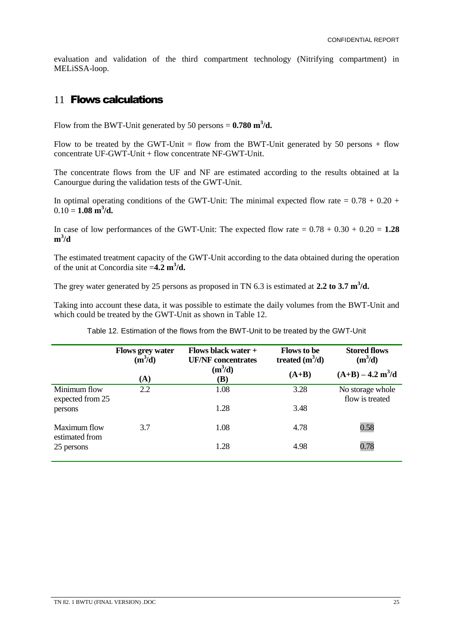evaluation and validation of the third compartment technology (Nitrifying compartment) in MELiSSA-loop.

### 11 **Flows calculations**

Flow from the BWT-Unit generated by 50 persons  $= 0.780 \text{ m}^3/\text{d}$ .

Flow to be treated by the GWT-Unit = flow from the BWT-Unit generated by 50 persons + flow concentrate UF-GWT-Unit + flow concentrate NF-GWT-Unit.

The concentrate flows from the UF and NF are estimated according to the results obtained at la Canourgue during the validation tests of the GWT-Unit.

In optimal operating conditions of the GWT-Unit: The minimal expected flow rate  $= 0.78 + 0.20 + 1.5$  $0.10 = 1.08 \text{ m}^3/\text{d}.$ 

In case of low performances of the GWT-Unit: The expected flow rate  $= 0.78 + 0.30 + 0.20 = 1.28$ **m 3 /d**

The estimated treatment capacity of the GWT-Unit according to the data obtained during the operation of the unit at Concordia site =**4.2 m<sup>3</sup> /d.**

The grey water generated by 25 persons as proposed in TN 6.3 is estimated at 2.2 to 3.7 m<sup>3</sup>/d.

Taking into account these data, it was possible to estimate the daily volumes from the BWT-Unit and which could be treated by the GWT-Unit as shown in Table 12.

|                                              | <b>Flows grey water</b><br>$(m^3/d)$<br>$({\bf A})$ | Flows black water $+$<br><b>UF/NF</b> concentrates<br>$(m^3/d)$<br>(B) | <b>Flows to be</b><br>treated $(m^3/d)$<br>$(A+B)$ | <b>Stored flows</b><br>$(m^3/d)$<br>$(A+B) - 4.2 m3/d$ |
|----------------------------------------------|-----------------------------------------------------|------------------------------------------------------------------------|----------------------------------------------------|--------------------------------------------------------|
| Minimum flow<br>expected from 25<br>persons  | 2.2                                                 | 1.08<br>1.28                                                           | 3.28<br>3.48                                       | No storage whole<br>flow is treated                    |
| Maximum flow<br>estimated from<br>25 persons | 3.7                                                 | 1.08<br>1.28                                                           | 4.78<br>4.98                                       | 0.58<br>0.78                                           |

Table 12. Estimation of the flows from the BWT-Unit to be treated by the GWT-Unit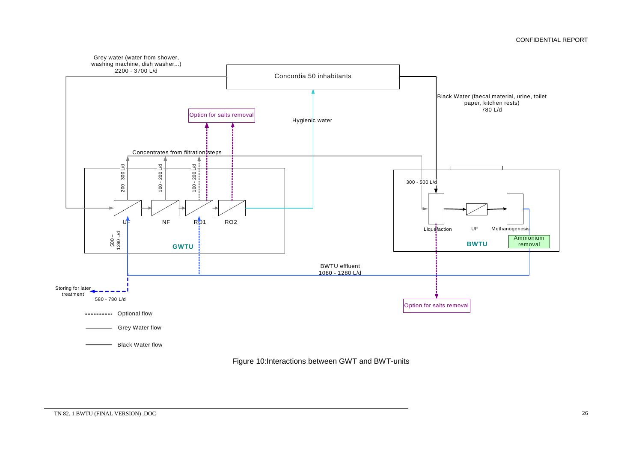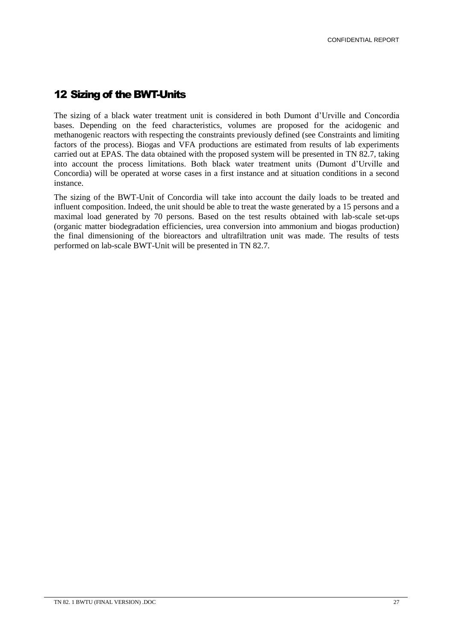### 12 Sizing of the BWT-Units

The sizing of a black water treatment unit is considered in both Dumont d'Urville and Concordia bases. Depending on the feed characteristics, volumes are proposed for the acidogenic and methanogenic reactors with respecting the constraints previously defined (see Constraints and limiting factors of the process). Biogas and VFA productions are estimated from results of lab experiments carried out at EPAS. The data obtained with the proposed system will be presented in TN 82.7, taking into account the process limitations. Both black water treatment units (Dumont d'Urville and Concordia) will be operated at worse cases in a first instance and at situation conditions in a second instance.

The sizing of the BWT-Unit of Concordia will take into account the daily loads to be treated and influent composition. Indeed, the unit should be able to treat the waste generated by a 15 persons and a maximal load generated by 70 persons. Based on the test results obtained with lab-scale set-ups (organic matter biodegradation efficiencies, urea conversion into ammonium and biogas production) the final dimensioning of the bioreactors and ultrafiltration unit was made. The results of tests performed on lab-scale BWT-Unit will be presented in TN 82.7.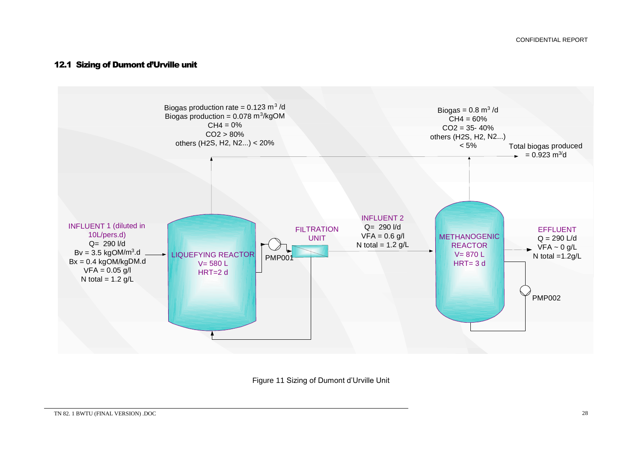### 12.1 Sizing of Dumont d'Urville unit



Figure 11 Sizing of Dumont d'Urville Unit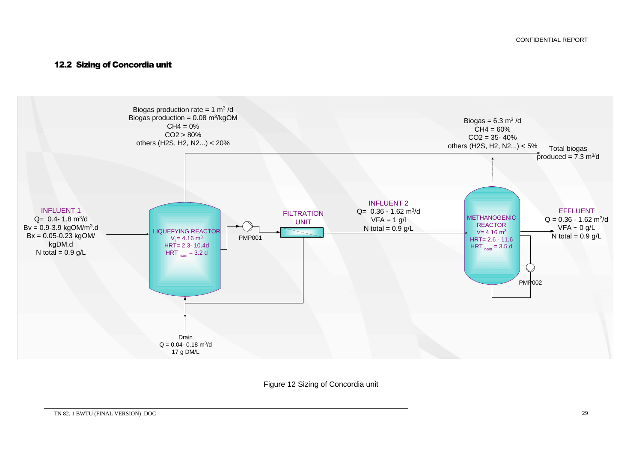### 12.2 Sizing of Concordia unit



Figure 12 Sizing of Concordia unit